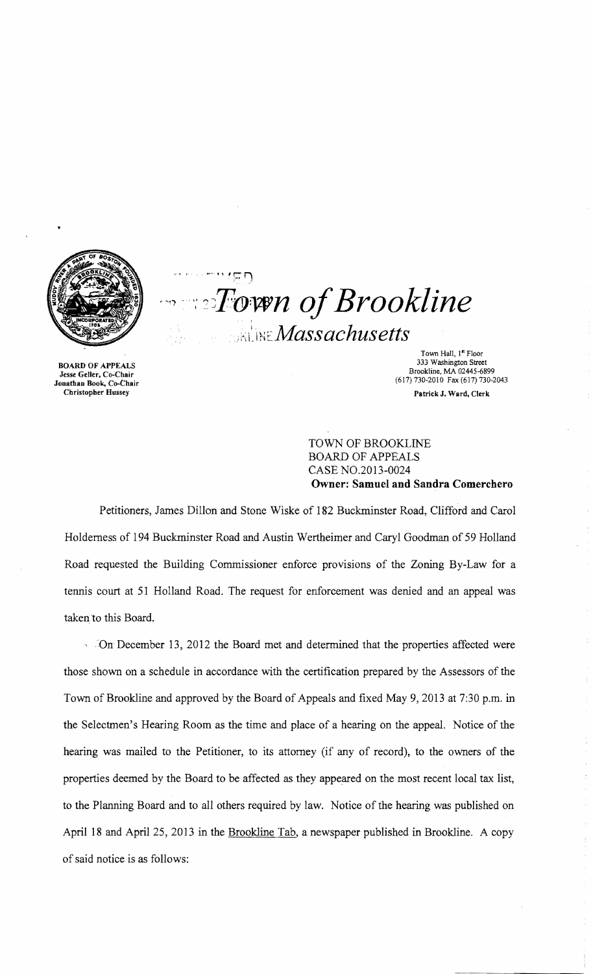

Christopher Hussey Patrick J. Ward, Clerk

 $-1.45n$  $T$ oven of Brookline  $\mathbb{R}$ ine Massachusetts

Town Hall, 1<sup>n</sup> Floor<br>333 Washington Street 333 Washington Street 333 Washington Street 333 Washington Street<br>Jesse Geller, Co-Chair Brookline, MA 02445-6899<br>Jonathan Book, Co-Chair (617) 730-2010 Fax (617) 730-2043

÷,

# TOWN OF BROOKLINE BOARD OF APPEALS CASE NO.2013-0024 **Owner: Samuel and Sandra Comerchero**

Petitioners, James Dillon and Stone Wiske of 182 Buckminster Road, Clifford and Carol Holderness of 194 Buckminster Road and Austin Wertheimer and Caryl Goodman of 59 Holland Road requested the Building Commissioner enforce provisions of the Zoning By-Law for a tennis court at 51 Holland Road. The request for enforcement was denied and an appeal was taken to this Board.

*,'On* December 13, 2012 the Board met and determined that the properties affected were those shown on a schedule in accordance with the certification prepared by the Assessors of the Town of Brookline and approved by the Board of Appeals and fixed May 9,2013 at 7:30 p.m. in the Selectmen's Hearing Room as the time and place of a hearing on the appeal. Notice of the hearing was mailed to the Petitioner, to its attorney (if any of record), to the owners of the properties deemed by the Board to be affected as they appeared on the most recent local tax list, to the Planning Board and to all others required by law. Notice of the hearing was published on April 18 and April 25, 2013 in the Brookline Tab, a newspaper published in Brookline. A copy of said notice is as follows: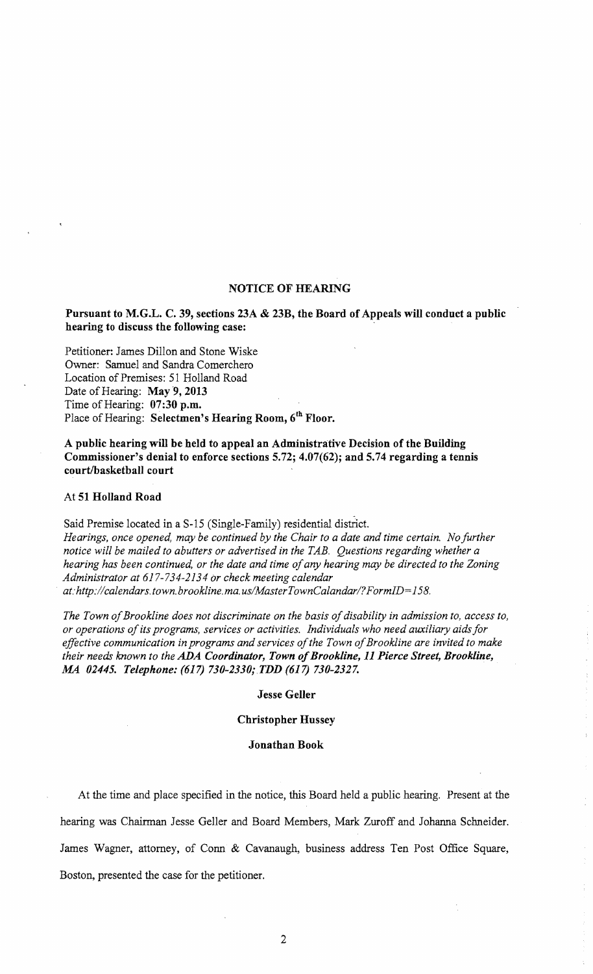## NOTICE OF HEARING

## Pursuant to M.G.L. C. 39, sections 23A & 23B, the Board of Appeals will conduct a public hearing to discuss the following case:

Petitioner: James Dillon and Stone Wiske Owner: Samuel and Sandra Comerchero Location of Premises: 51 Holland Road Date of Hearing: May 9, 2013 Time of Hearing: 07:30 p.m. Place of Hearing: Selectmen's Hearing Room, 6<sup>th</sup> Floor.

A public hearing will be held to appeal an Administrative Decision of the Building Commissioner's denial to enforce sections 5.72; 4.07(62); and 5.74 regarding a tennis court/basketball court

#### At 51 Holland Road

Said Premise located in a S-15 (Single-Family) residential district. *Hearings, once opened, may be continued by the Chair to a date and time certain. No further notice will be mailed to abutters or advertised in the TAB. Questions regarding whether a hearing has been continued, or the date and time ofany hearing may be directed to the Zoning Administrator at* 617-734-2134 *Or check meeting calendar . at: http://calendars.town.brookline.ma.us/Master TownCalandar/? F ormID=* 158.

The Town of Brookline does not discriminate on the basis of disability in admission to, access to, *or operations ofits programs, services or activities. Individuals who need auxiliary aids for*  effective communication in programs and services of the Town of Brookline are invited to make *their needs known to the ADA Coordinator, Town ofBrookline,* 11 *Pierce Street, Brookline, AU 02445. Telephone:* (617) *730-2330; TDD* (617) *730-2327.* 

### Jesse Geller

## Christopher Hussey

## Jonathan Book

At the time and place specified in the notice, this Board held a public hearing. Present at the

hearing was Chairman Jesse Geller and Board Members, Mark Zuroff and Johanna Schneider.

James Wagner, attorney, of Conn & Cavanaugh, business address Ten Post Office Square,

Boston, presented the case for the petitioner.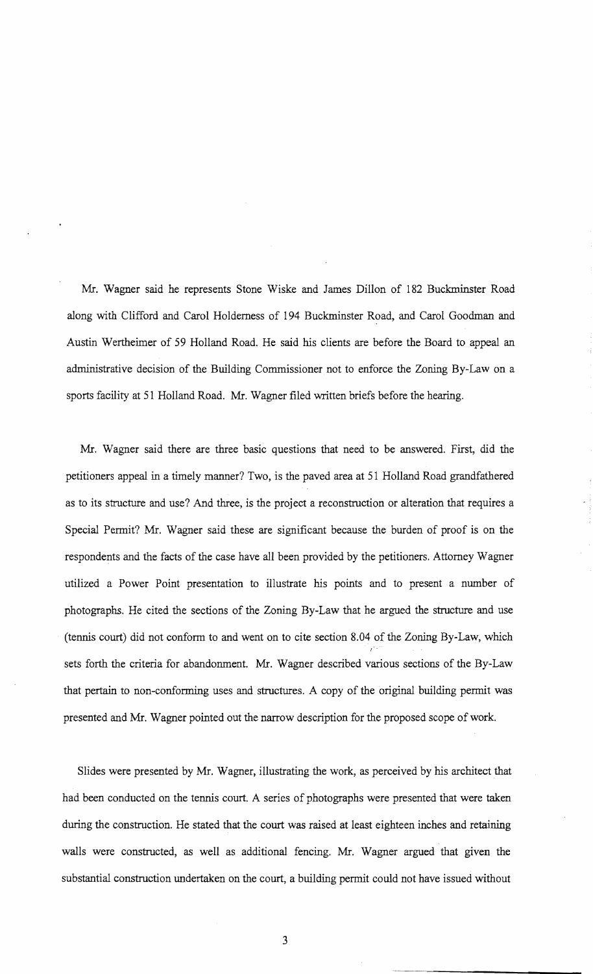Mr. Wagner said he represents Stone Wiske and James Dillon of 182 Buckminster Road along with Clifford and Carol Holderness of 194 Buckminster Road, and Carol Goodman and Austin Wertheimer of 59 Holland Road. He said his clients are before the Board to appeal an administrative decision of the Building Commissioner not to enforce the Zoning By-Law on a sports facility at 51 Holland Road. Mr. Wagner filed written briefs before the hearing.

Mr. Wagner said there are three basic questions that need to be answered. First, did the petitioners appeal in a timely manner? Two, is the paved area at 51 Holland Road grandfathered as to its structure and use? And three, is the project a reconstruction or alteration that requires a Special Permit? Mr. Wagner said these are significant because the burden of proof is on the respondents and the facts of the case have all been provided by the petitioners. Attorney Wagner utilized a Power Point presentation to illustrate his points and to present a number of photographs. He cited the sections of the Zoning By-Law that he argued the structure and use (tennis court) did not conform to and went on to cite section 8.04 of the Zoning By-Law, which  $^{\prime}$ sets forth the criteria for abandonment. Mr. Wagner described various sections of the By-Law that pertain to non-conforming uses and structures. A copy of the original building permit was presented and Mr. Wagner pointed out the narrow description for the proposed scope of work.

Slides were presented by Mr. Wagner, illustrating the work, as perceived by his architect that had been conducted on the tennis court. A series of photographs were presented that were taken during the construction. He stated that the court was raised at least eighteen inches and retaining walls were constructed, as well as additional fencing. Mr. Wagner argued that given the substantial construction undertaken on the court, a building permit could not have issued without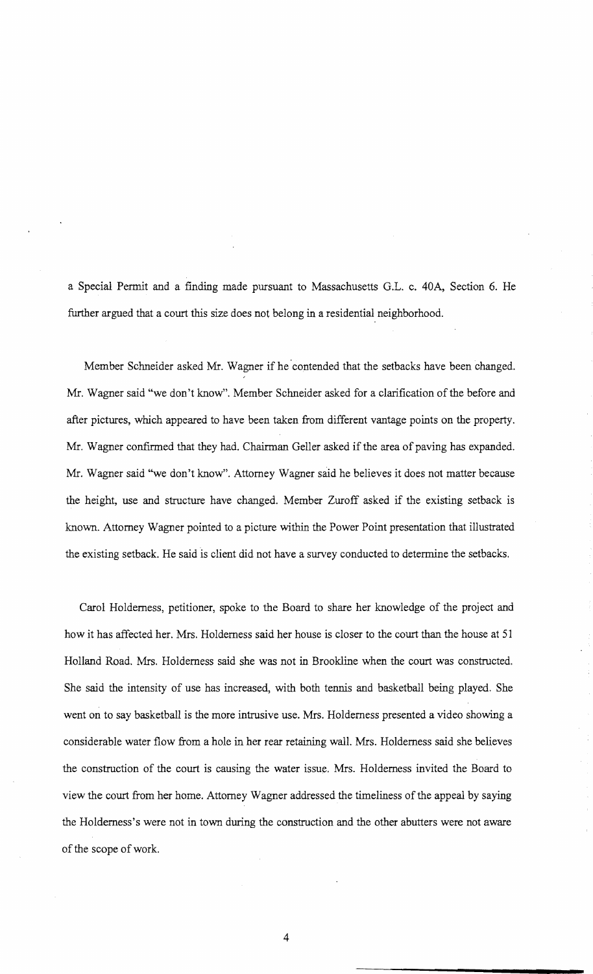a Special Permit and a finding made pursuant to Massachusetts G.L. c. 40A, Section 6. He further argued that a court this size does not belong in a residential neighborhood.

Member Schneider asked Mr. Wagner if he contended that the setbacks have been changed. Mr. Wagner said "we don't know". Member Schneider asked for a clarification of the before and after pictures, which appeared to have been taken from different vantage points on the property. Mr. Wagner confirmed that they had. Chairman Geller asked if the area of paving has expanded. Mr. Wagner said "we don't know". Attorney Wagner said he believes it does not matter because the height, use and structure have changed. Member Zuroff asked if the existing setback is known. Attorney Wagner pointed to a picture within the Power Point presentation that illustrated the existing setback. He said is client did not have a survey conducted to determine the setbacks.

Carol Holderness, petitioner, spoke to the Board to share her knowledge of the project and how it has affected her. Mrs. Holderness said her house is closer to the court than the house at 51 Holland Road. Mrs. Holderness said she was not in Brookline when the court was constructed. She said the intensity of use has increased, with both tennis and basketball being played. She went on to say basketball is the more intrusive use. Mrs. Holderness presented a video showing a considerable water flow from a hole in her rear retaining wall. Mrs. Holderness said she believes the construction of the court is causing the water issue. Mrs. Holderness invited the Board to view the court from her home. Attorney Wagner addressed the timeliness of the appeal by saying the Holderness's were not in town during the construction and the other abutters were not aware of the scope of work.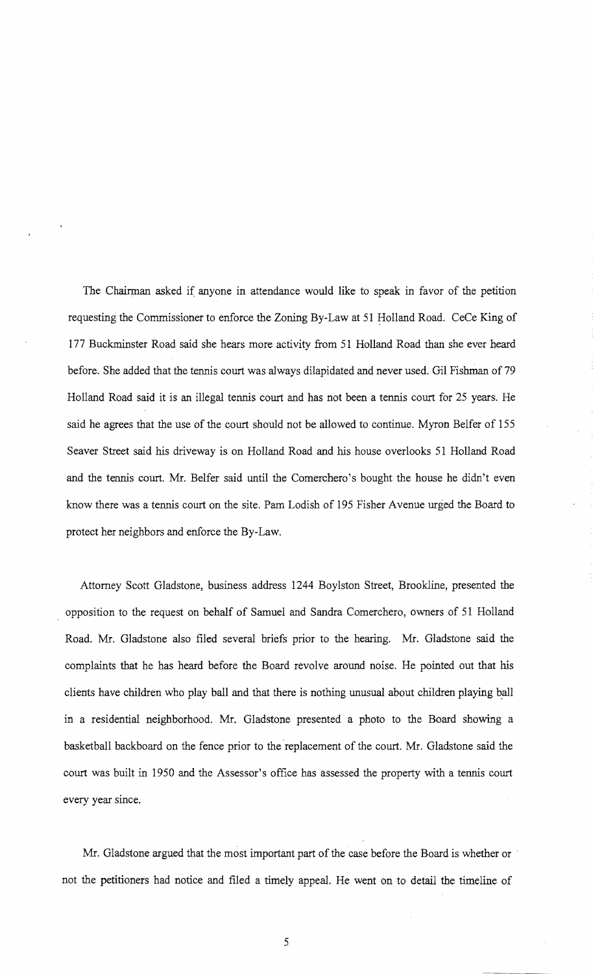The Chairman asked if anyone in attendance would like to speak in favor of the petition requesting the Commissioner to enforce the Zoning By-Law at 51 Holland Road. CeCe King of 177 Buckminster Road said she hears more activity from 51 Holland Road than she ever heard before. She added that the tennis court was always dilapidated and never used. Gil Fishman of 79 Holland Road said it is an illegal tennis court and has not been a tennis court for 25 years. He said he agrees that the use of the court should not be allowed to continue. Myron Belfer of 155 Seaver Street said his driveway is on Holland Road and his house overlooks 51 Holland Road and the tennis court. Mr. Belfer said until the Comerchero's bought the house he didn't even know there was a tennis court on the site. Pam Lodish of 195 Fisher Avenue urged the Board to protect her neighbors and enforce the By-Law.

Attorney Scott Gladstone, business address 1244 Boylston Street, Brookline, presented the opposition to the request on behalf of Samuel and Sandra Comerchero, owners of 51 Holland Road. Mr. Gladstone also filed several briefs prior to the hearing. Mr. Gladstone said the complaints that he has heard before the Board revolve around noise. He pointed out that his clients have children who play ball and that there is nothing unusual about children playing ball in a residential neighborhood. Mr. Gladstone presented a photo to the Board showing a basketball backboard on the fence prior to the replacement of the court. Mr. Gladstone said the court was built in 1950 and the Assessor's office has assessed the property with a tennis court every year since.

Mr. Gladstone argued that the most important part of the case before the Board is whether or not the petitioners had notice and filed a timely appeal. He went on to detail the timeline of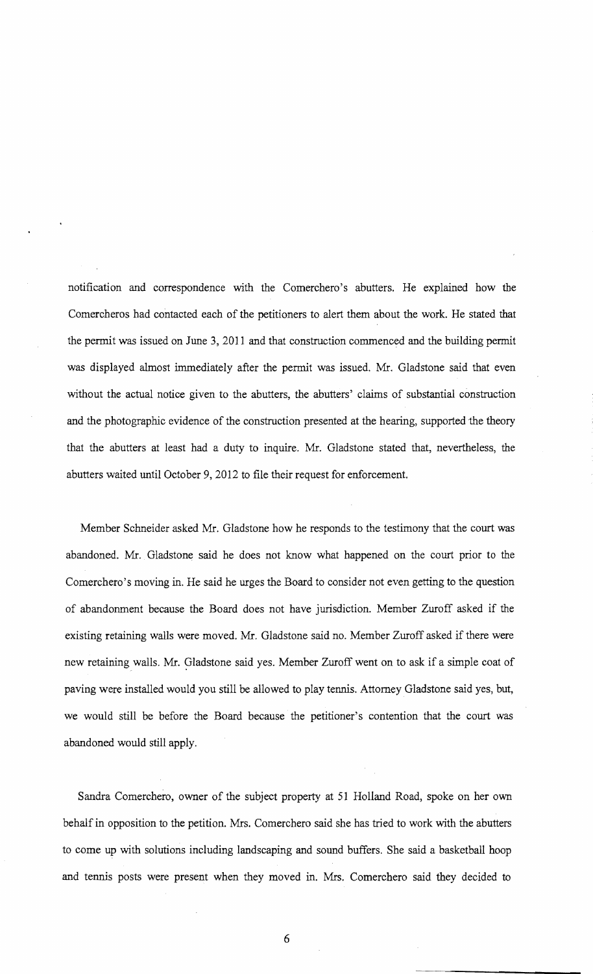notification and correspondence with the Comerchero's abutters. He explained how the Comercheros had contacted each of the petitioners to alert them about the work. He stated that the permit was issued on June 3, 2011 and that construction commenced and the building permit was displayed almost immediately after the permit was issued. Mr. Gladstone said that even without the actual notice given to the abutters, the abutters' claims of substantial construction and the photographic evidence of the construction presented at the hearing, supported the theory that the abutters at least had a duty to inquire. Mr. Gladstone stated that, nevertheless, the abutters waited until October 9,2012 to file their request for enforcement.

Member Schneider asked Mr. Gladstone how he responds to the testimony that the court was abandoned. Mr. Gladstone said he does not know what happened on the court prior to the Comerchero's moving in. He said he urges the Board to consider not even getting to the question of abandonment because the Board does not have jurisdiction. Member Zuroff asked if the existing retaining walls were moved. Mr. Gladstone said no. Member Zuroff asked if there were new retaining walls. Mr. Gladstone said yes. Member Zuroff went on to ask if a simple coat of paving were installed would you still be allowed to play tennis. Attorney Gladstone said yes, but, we would still be before the Board because the petitioner's contention that the court was abandoned would still apply.

Sandra Comerchero, owner of the subject property at 51 Holland Road, spoke on her own behalf in opposition to the petition. Mrs. Comerchero said she has tried to work with the abutters to come up with solutions including landscaping and sound buffers. She said a basketball hoop and tennis posts were present when they moved in. Mrs. Comerchero said they decided to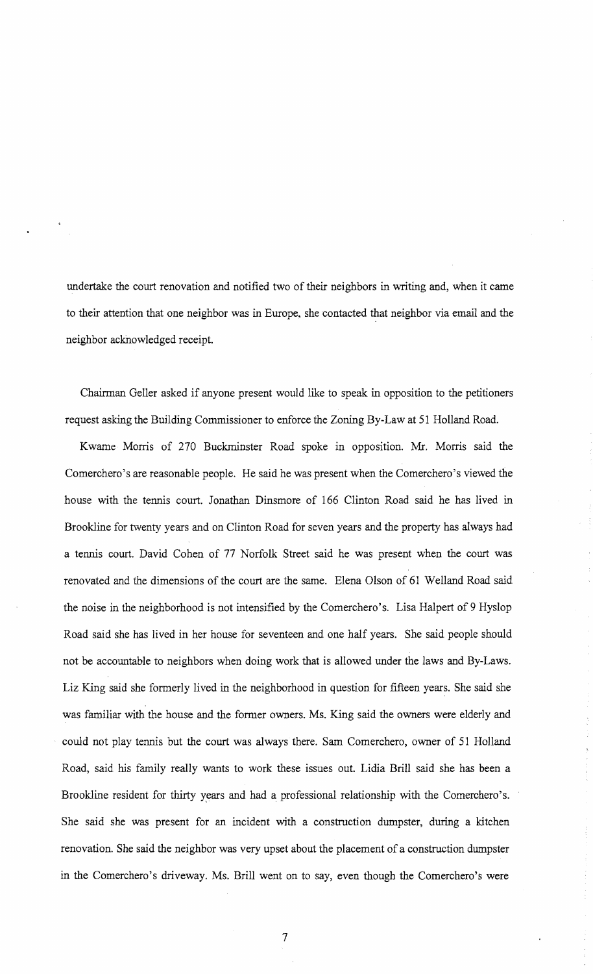undertake the court renovation and notified two of their neighbors in writing and, when it came to their attention that one neighbor was in Europe, she contacted that neighbor via email and the neighbor acknowledged receipt.

Chairman Geller asked if anyone present would like to speak in opposition to the petitioners request asking the Building Commissioner to enforce the Zoning By-Law at 51 Holland Road.

Kwame Morris of 270 Buckminster Road spoke in opposition. Mr. Morris said the Comerchero's are reasonable people. He said he was present when the Comerchero's viewed the house with the tennis court. Jonathan Dinsmore of 166 Clinton Road said he has lived in Brookline for twenty years and on Clinton Road for seven years and the property has always had a tennis court. David Cohen of 77 Norfolk Street said he was present when the court was renovated and the dimensions of the court are the same. Elena Olson of 61 Welland Road said the noise in the neighborhood is not intensified by the Comerchero's. Lisa Halpert of 9 Hyslop Road said she has lived in her house for seventeen and one half years. She said people should not be accountable to neighbors when doing work that is allowed under the laws and By-Laws. Liz King said she formerly lived in the neighborhood in question for fifteen years. She said she was familiar with the house and the former owners. Ms. King said the owners were elderly and could not play tennis but the court was always there. Sam Comerchero, owner of 51 Holland Road, said his family really wants to work these issues out. Lidia Brill said she has been a Brookline resident for thirty years and had a professional relationship with the Comerchero's. She said she was present for an incident with a construction dumpster, during a kitchen renovation. She said the neighbor was very upset about the placement of a construction dumpster in the Comerchero's driveway. Ms. Brill went on to say, even though the Comerchero's were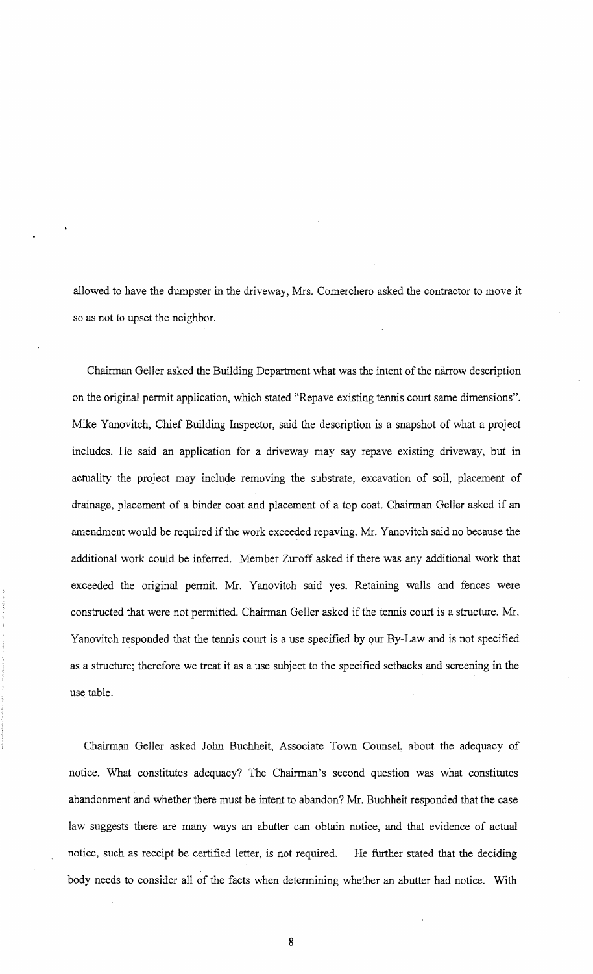allowed to have the dumpster in the driveway, Mrs. Comerchero asked the contractor to move it so as not to upset the neighbor.

Chairman Geller asked the Building Department what was the intent of the mirrow description on the original permit application, which stated "Repave existing tennis court same dimensions". Mike Yanovitch, Chief Building Inspector, said the description is a snapshot of what a project includes. He said an application for a driveway may say repave existing driveway, but in actuality the project may include removing the substrate, excavation of soil, placement of drainage, placement of a binder coat and placement of a top coat. Chairman Geller asked if an amendment would be required if the work exceeded repaving. Mr. Yanovitch said no because the additional work could be inferred. Member Zuroff asked if there was any additional work that exceeded the original permit. Mr. Yanovitch said yes. Retaining walls and fences were constructed that were not permitted. Chairman Geller asked if the tennis court is a structure. Mr. Yanovitch responded that the tennis court is a use specified by our By-Law and is not specified as a structure; therefore we treat it as a use subject to the specified setbacks and screening in the use table.

Chairman Geller asked John Buchheit, Associate Town Counsel, about the adequacy of notice. What constitutes adequacy? The Chairman's second question was what constitutes abandonment and whether there must be intent to abandon? Mr. Buchheit responded that the case law suggests there are many ways an abutter can obtain notice, and that evidence of actual notice, such as receipt be certified letter, is not required. He further stated that the deciding body needs to consider all of the facts when determining whether an abutter had notice. With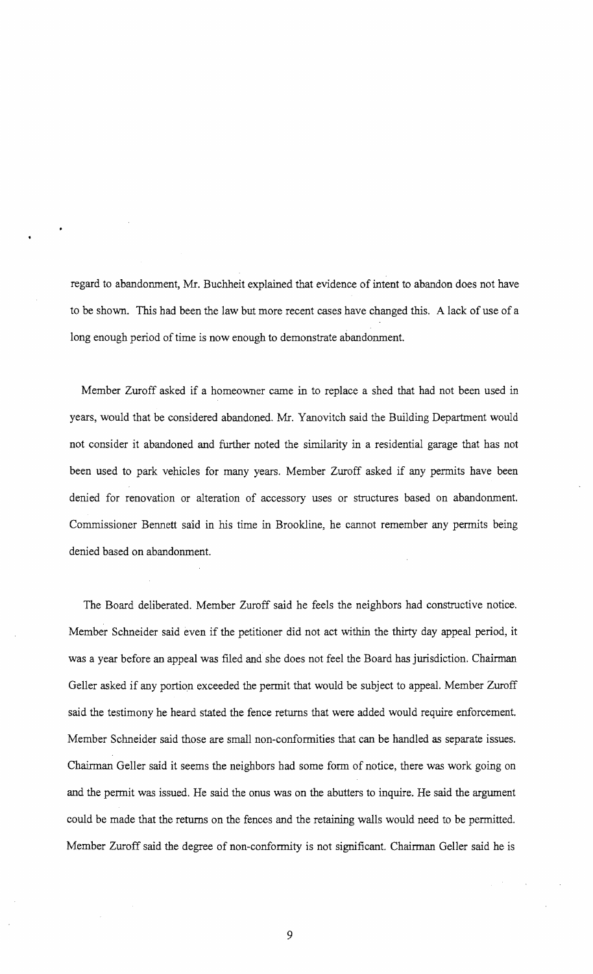regard to abandonment, Mr. Buchheit explained that evidence of intent to abandon does not have to be shown. This had been the law but more recent cases have changed this. A lack of use of a long enough period of time is now enough to demonstrate abandonment.

Member Zuroff asked if a homeowner came in to replace a shed that had not been used in years, would that be considered abandoned. Mr. Yanovitch said the Building Department would not consider it abandoned and further noted the similarity in a residential garage that has not been used to park vehicles for many years. Member Zuroff asked if any permits have been denied for renovation or alteration of accessory uses or structures based on abandonment. Commissioner Bennett said in his time in Brookline, he cannot remember any permits being denied based on abandonment.

The Board deliberated. Member Zuroff said he feels the neighbors had constructive notice. Member Schneider said even if the petitioner did not act within the thirty day appeal period, it was a year before an appeal was filed and she does not feel the Board has jurisdiction. Chairman Geller asked if any portion exceeded the permit that would be subject to appeal. Member Zuroff said the testimony he heard stated the fence returns that were added would require enforcement. Member Schneider said those are small non-conformities that can be handled as separate issues. Chairman Geller said it seems the neighbors had some form of notice, there was work going on and the permit was issued. He said the onus was on the abutters to inquire. He said the argument could be made that the returns on the fences and the retaining walls would need to be permitted. Member Zuroff said the degree of non-conformity is not significant. Chairman Geller said he is